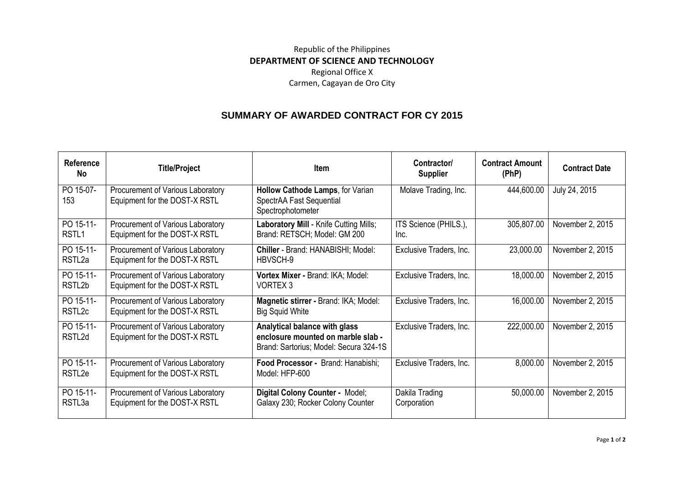## Republic of the Philippines **DEPARTMENT OF SCIENCE AND TECHNOLOGY** Regional Office X Carmen, Cagayan de Oro City

## **SUMMARY OF AWARDED CONTRACT FOR CY 2015**

| Reference<br><b>No</b>          | <b>Title/Project</b>                                               | <b>Item</b>                                                                                                   | Contractor/<br><b>Supplier</b> | <b>Contract Amount</b><br>(PhP) | <b>Contract Date</b> |
|---------------------------------|--------------------------------------------------------------------|---------------------------------------------------------------------------------------------------------------|--------------------------------|---------------------------------|----------------------|
| PO 15-07-<br>153                | Procurement of Various Laboratory<br>Equipment for the DOST-X RSTL | Hollow Cathode Lamps, for Varian<br>SpectrAA Fast Sequential<br>Spectrophotometer                             | Molave Trading, Inc.           | 444,600.00                      | July 24, 2015        |
| PO 15-11-<br>RSTL <sub>1</sub>  | Procurement of Various Laboratory<br>Equipment for the DOST-X RSTL | Laboratory Mill - Knife Cutting Mills;<br>Brand: RETSCH; Model: GM 200                                        | ITS Science (PHILS.),<br>Inc.  | 305,807.00                      | November 2, 2015     |
| PO 15-11-<br>RSTL <sub>2a</sub> | Procurement of Various Laboratory<br>Equipment for the DOST-X RSTL | Chiller - Brand: HANABISHI; Model:<br>HBVSCH-9                                                                | Exclusive Traders, Inc.        | 23,000.00                       | November 2, 2015     |
| PO 15-11-<br>RSTL2b             | Procurement of Various Laboratory<br>Equipment for the DOST-X RSTL | Vortex Mixer - Brand: IKA; Model:<br>VORTEX <sub>3</sub>                                                      | Exclusive Traders, Inc.        | 18,000.00                       | November 2, 2015     |
| PO 15-11-<br>RSTL <sub>2c</sub> | Procurement of Various Laboratory<br>Equipment for the DOST-X RSTL | Magnetic stirrer - Brand: IKA; Model:<br><b>Big Squid White</b>                                               | Exclusive Traders, Inc.        | 16,000.00                       | November 2, 2015     |
| PO 15-11-<br>RSTL2d             | Procurement of Various Laboratory<br>Equipment for the DOST-X RSTL | Analytical balance with glass<br>enclosure mounted on marble slab -<br>Brand: Sartorius; Model: Secura 324-1S | Exclusive Traders, Inc.        | 222,000.00                      | November 2, 2015     |
| PO 15-11-<br>RSTL <sub>2e</sub> | Procurement of Various Laboratory<br>Equipment for the DOST-X RSTL | Food Processor - Brand: Hanabishi;<br>Model: HFP-600                                                          | Exclusive Traders, Inc.        | 8,000.00                        | November 2, 2015     |
| PO 15-11-<br>RSTL3a             | Procurement of Various Laboratory<br>Equipment for the DOST-X RSTL | Digital Colony Counter - Model;<br>Galaxy 230; Rocker Colony Counter                                          | Dakila Trading<br>Corporation  | 50,000.00                       | November 2, 2015     |